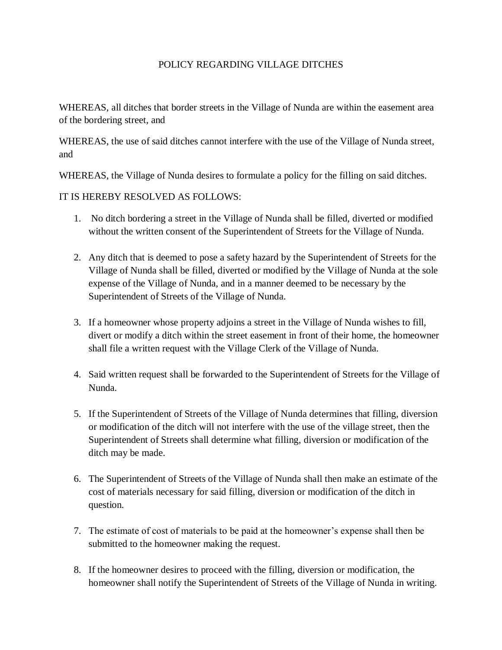## POLICY REGARDING VILLAGE DITCHES

WHEREAS, all ditches that border streets in the Village of Nunda are within the easement area of the bordering street, and

WHEREAS, the use of said ditches cannot interfere with the use of the Village of Nunda street, and

WHEREAS, the Village of Nunda desires to formulate a policy for the filling on said ditches.

IT IS HEREBY RESOLVED AS FOLLOWS:

- 1. No ditch bordering a street in the Village of Nunda shall be filled, diverted or modified without the written consent of the Superintendent of Streets for the Village of Nunda.
- 2. Any ditch that is deemed to pose a safety hazard by the Superintendent of Streets for the Village of Nunda shall be filled, diverted or modified by the Village of Nunda at the sole expense of the Village of Nunda, and in a manner deemed to be necessary by the Superintendent of Streets of the Village of Nunda.
- 3. If a homeowner whose property adjoins a street in the Village of Nunda wishes to fill, divert or modify a ditch within the street easement in front of their home, the homeowner shall file a written request with the Village Clerk of the Village of Nunda.
- 4. Said written request shall be forwarded to the Superintendent of Streets for the Village of Nunda.
- 5. If the Superintendent of Streets of the Village of Nunda determines that filling, diversion or modification of the ditch will not interfere with the use of the village street, then the Superintendent of Streets shall determine what filling, diversion or modification of the ditch may be made.
- 6. The Superintendent of Streets of the Village of Nunda shall then make an estimate of the cost of materials necessary for said filling, diversion or modification of the ditch in question.
- 7. The estimate of cost of materials to be paid at the homeowner's expense shall then be submitted to the homeowner making the request.
- 8. If the homeowner desires to proceed with the filling, diversion or modification, the homeowner shall notify the Superintendent of Streets of the Village of Nunda in writing.